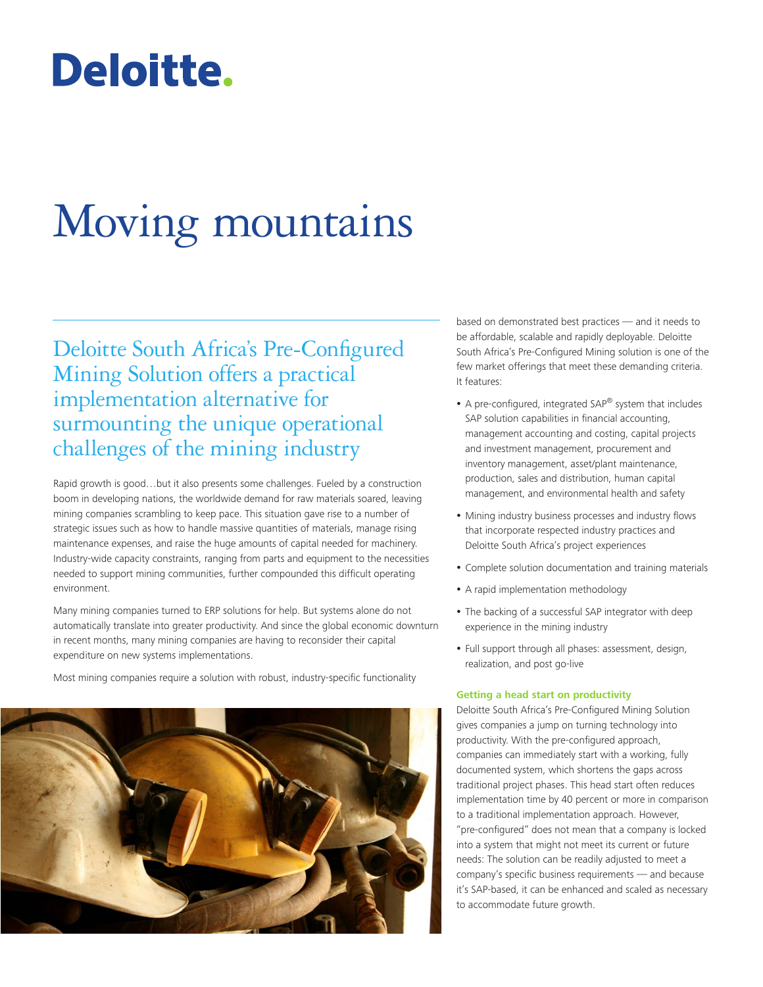## Deloitte.

# Moving mountains

Deloitte South Africa's Pre-Configured Mining Solution offers a practical implementation alternative for surmounting the unique operational challenges of the mining industry

Rapid growth is good…but it also presents some challenges. Fueled by a construction boom in developing nations, the worldwide demand for raw materials soared, leaving mining companies scrambling to keep pace. This situation gave rise to a number of strategic issues such as how to handle massive quantities of materials, manage rising maintenance expenses, and raise the huge amounts of capital needed for machinery. Industry-wide capacity constraints, ranging from parts and equipment to the necessities needed to support mining communities, further compounded this difficult operating environment.

Many mining companies turned to ERP solutions for help. But systems alone do not automatically translate into greater productivity. And since the global economic downturn in recent months, many mining companies are having to reconsider their capital expenditure on new systems implementations.

Most mining companies require a solution with robust, industry-specific functionality



based on demonstrated best practices — and it needs to be affordable, scalable and rapidly deployable. Deloitte South Africa's Pre-Configured Mining solution is one of the few market offerings that meet these demanding criteria. It features:

- A pre-configured, integrated SAP® system that includes SAP solution capabilities in financial accounting, management accounting and costing, capital projects and investment management, procurement and inventory management, asset/plant maintenance, production, sales and distribution, human capital management, and environmental health and safety
- Mining industry business processes and industry flows that incorporate respected industry practices and Deloitte South Africa's project experiences
- Complete solution documentation and training materials
- A rapid implementation methodology
- The backing of a successful SAP integrator with deep experience in the mining industry
- Full support through all phases: assessment, design, realization, and post go-live

#### **Getting a head start on productivity**

Deloitte South Africa's Pre-Configured Mining Solution gives companies a jump on turning technology into productivity. With the pre-configured approach, companies can immediately start with a working, fully documented system, which shortens the gaps across traditional project phases. This head start often reduces implementation time by 40 percent or more in comparison to a traditional implementation approach. However, "pre-configured" does not mean that a company is locked into a system that might not meet its current or future needs: The solution can be readily adjusted to meet a company's specific business requirements — and because it's SAP-based, it can be enhanced and scaled as necessary to accommodate future growth.